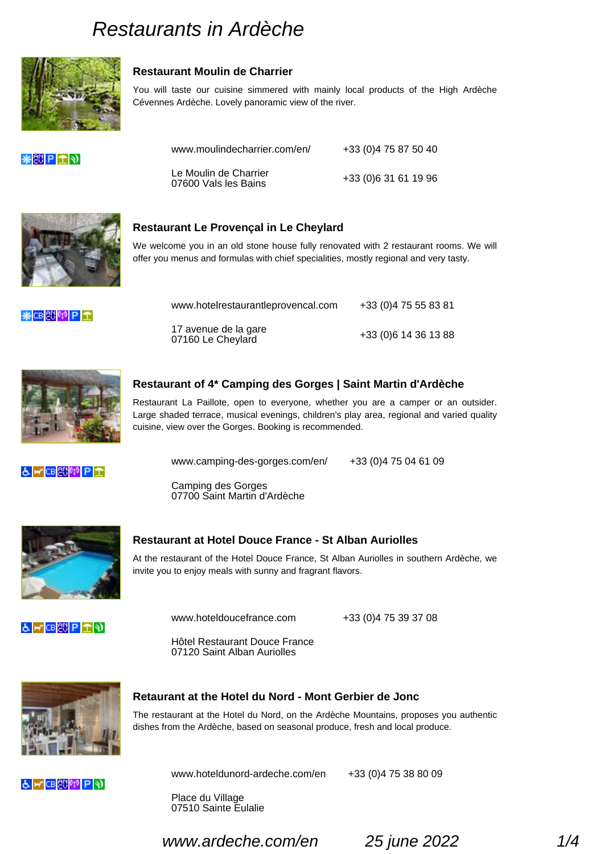## Restaurant Moulin de Charrier

You will taste our cuisine simmered with mainly local products of the High Ardèche Cévennes Ardèche. Lovely panoramic view of the river.

www.moulindecharrier.com/en/ +33 (0)4 75 87 50 40

Le Moulin de Charrier 07600 Vals les Bains +33 (0)6 31 61 19 96

# Restaurant Le Provençal in Le Cheylard

We welcome you in an old stone house fully renovated with 2 restaurant rooms. We will offer you menus and formulas with chief specialities, mostly regional and very tasty.

| www.hotelrestaurantleprovencal.com        | +33 (0) 4 75 55 83 81 |
|-------------------------------------------|-----------------------|
| 17 avenue de la gare<br>07160 Le Cheylard | +33 (0) 6 14 36 13 88 |

## Restaurant of 4\* Camping des Gorges | Saint Martin d'Ardèche

Restaurant La Paillote, open to everyone, whether you are a camper or an outsider. Large shaded terrace, musical evenings, children's play area, regional and varied quality cuisine, view over the Gorges. Booking is recommended.

www.camping-des-gorges.com/en/ +33 (0)4 75 04 61 09

Camping des Gorges 07700 Saint Martin d'Ardèche

#### Restaurant at Hotel Douce France - St Alban Auriolles

At the restaurant of the Hotel Douce France, St Alban Auriolles in southern Ardèche, we invite you to enjoy meals with sunny and fragrant flavors.

www.hoteldoucefrance.com +33 (0)4 75 39 37 08

Hôtel Restaurant Douce France 07120 Saint Alban Auriolles

Retaurant at the Hotel du Nord - Mont Gerbier de Jonc

The restaurant at the Hotel du Nord, on the Ardèche Mountains, proposes you authentic dishes from the Ardèche, based on seasonal produce, fresh and local produce.

www.hoteldunord-ardeche.com/en +33 (0)4 75 38 80 09

Place du Village 07510 Sainte Eulalie

www.ardeche.com/en 25 june 2022 1/4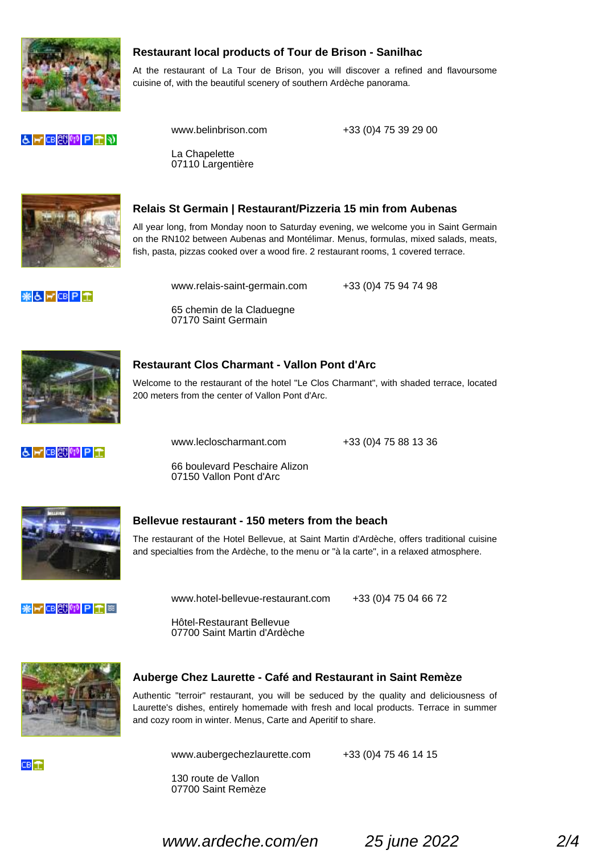Restaurant local products of Tour de Brison - Sanilhac

At the restaurant of La Tour de Brison, you will discover a refined and flavoursome cuisine of, with the beautiful scenery of southern Ardèche panorama.

www.belinbrison.com +33 (0)4 75 39 29 00

La Chapelette 07110 Largentière



## Relais St Germain | Restaurant/Pizzeria 15 min from Aubenas

All year long, from Monday noon to Saturday evening, we welcome you in Saint Germain on the RN102 between Aubenas and Montélimar. Menus, formulas, mixed salads, meats, fish, pasta, pizzas cooked over a wood fire. 2 restaurant rooms, 1 covered terrace.

www.relais-saint-germain.com +33 (0)4 75 94 74 98

65 chemin de la Claduegne 07170 Saint Germain



## Restaurant Clos Charmant - Vallon Pont d'Arc

Welcome to the restaurant of the hotel "Le Clos Charmant", with shaded terrace, located 200 meters from the center of Vallon Pont d'Arc.

www.lecloscharmant.com +33 (0)4 75 88 13 36

66 boulevard Peschaire Alizon 07150 Vallon Pont d'Arc

#### Bellevue restaurant - 150 meters from the beach

The restaurant of the Hotel Bellevue, at Saint Martin d'Ardèche, offers traditional cuisine and specialties from the Ardèche, to the menu or "à la carte", in a relaxed atmosphere.

www.hotel-bellevue-restaurant.com +33 (0)4 75 04 66 72

Hôtel-Restaurant Bellevue 07700 Saint Martin d'Ardèche

# Auberge Chez Laurette - Café and Restaurant in Saint Remèze

Authentic "terroir" restaurant, you will be seduced by the quality and deliciousness of Laurette's dishes, entirely homemade with fresh and local products. Terrace in summer and cozy room in winter. Menus, Carte and Aperitif to share.

www.aubergechezlaurette.com +33 (0)4 75 46 14 15

130 route de Vallon 07700 Saint Remèze

www.ardeche.com/en 25 june 2022 2/4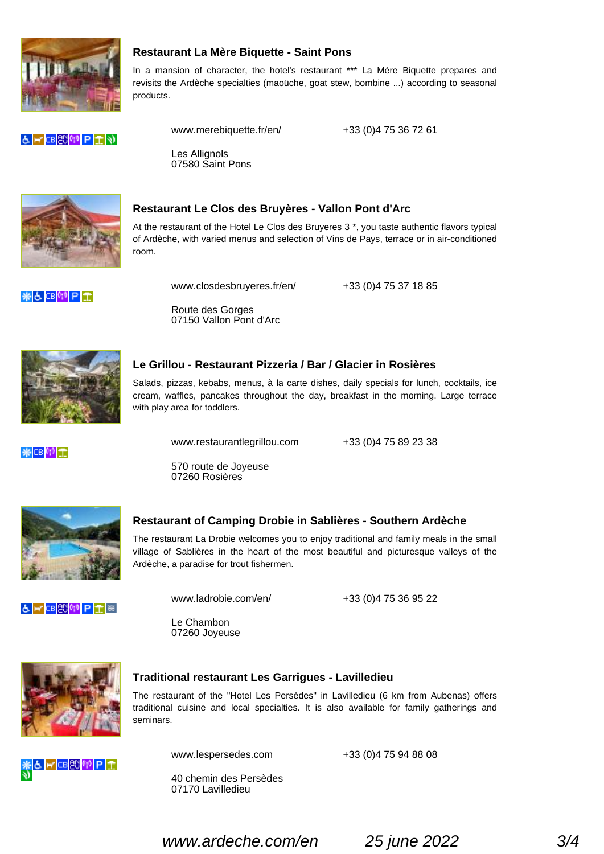Restaurant La Mère Biquette - Saint Pons

In a mansion of character, the hotel's restaurant \*\*\* La Mère Biquette prepares and revisits the Ardèche specialties (maoüche, goat stew, bombine ...) according to seasonal products.

www.merebiquette.fr/en/ +33 (0)4 75 36 72 61

Les Allignols 07580 Saint Pons



## Restaurant Le Clos des Bruyères - Vallon Pont d'Arc

At the restaurant of the Hotel Le Clos des Bruyeres 3 \*, you taste authentic flavors typical of Ardèche, with varied menus and selection of Vins de Pays, terrace or in air-conditioned room.

www.closdesbruyeres.fr/en/ +33 (0)4 75 37 18 85

Route des Gorges 07150 Vallon Pont d'Arc



### Le Grillou - Restaurant Pizzeria / Bar / Glacier in Rosières

Salads, pizzas, kebabs, menus, à la carte dishes, daily specials for lunch, cocktails, ice cream, waffles, pancakes throughout the day, breakfast in the morning. Large terrace with play area for toddlers.

www.restaurantlegrillou.com +33 (0)4 75 89 23 38

570 route de Joyeuse 07260 Rosières

#### Restaurant of Camping Drobie in Sablières - Southern Ardèche

The restaurant La Drobie welcomes you to enjoy traditional and family meals in the small village of Sablières in the heart of the most beautiful and picturesque valleys of the Ardèche, a paradise for trout fishermen.

www.ladrobie.com/en/ +33 (0)4 75 36 95 22

Le Chambon 07260 Joyeuse

#### Traditional restaurant Les Garrigues - Lavilledieu

The restaurant of the "Hotel Les Persèdes" in Lavilledieu (6 km from Aubenas) offers traditional cuisine and local specialties. It is also available for family gatherings and seminars.

www.lespersedes.com +33 (0)4 75 94 88 08

40 chemin des Persèdes 07170 Lavilledieu

www.ardeche.com/en 25 june 2022 3/4